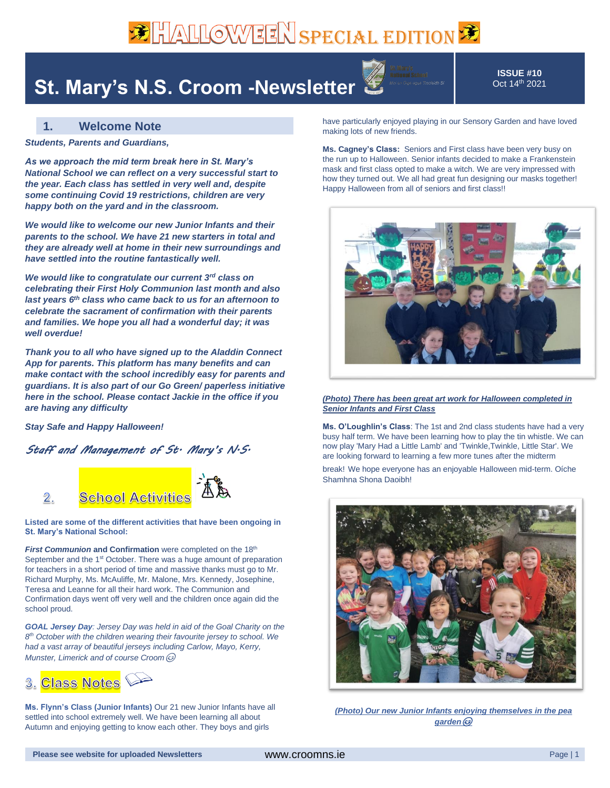# **BE ALLOWEEN SPECIAL EDITION**

### **St. Mary's N.S. Croom -Newsletter**

**ISSUE #10** Oct 14 th 2021

### **1. Welcome Note**

*Students, Parents and Guardians,*

*As we approach the mid term break here in St. Mary's National School we can reflect on a very successful start to the year. Each class has settled in very well and, despite some continuing Covid 19 restrictions, children are very happy both on the yard and in the classroom.* 

*We would like to welcome our new Junior Infants and their parents to the school. We have 21 new starters in total and they are already well at home in their new surroundings and have settled into the routine fantastically well.* 

*We would like to congratulate our current 3rd class on celebrating their First Holy Communion last month and also last years 6th class who came back to us for an afternoon to celebrate the sacrament of confirmation with their parents and families. We hope you all had a wonderful day; it was well overdue!*

*Thank you to all who have signed up to the Aladdin Connect App for parents. This platform has many benefits and can make contact with the school incredibly easy for parents and guardians. It is also part of our Go Green/ paperless initiative here in the school. Please contact Jackie in the office if you are having any difficulty*

*Stay Safe and Happy Halloween!*

#### *Staff and Management of St. Mary's N.S.*



**Listed are some of the different activities that have been ongoing in St. Mary's National School:**

*First Communion* **and Confirmation** were completed on the 18<sup>th</sup> September and the 1<sup>st</sup> October. There was a huge amount of preparation for teachers in a short period of time and massive thanks must go to Mr. Richard Murphy, Ms. McAuliffe, Mr. Malone, Mrs. Kennedy, Josephine, Teresa and Leanne for all their hard work. The Communion and Confirmation days went off very well and the children once again did the school proud.

*GOAL Jersey Day: Jersey Day was held in aid of the Goal Charity on the 8 th October with the children wearing their favourite jersey to school. We had a vast array of beautiful jerseys including Carlow, Mayo, Kerry, Munster, Limerick and of course Croom*



**Ms. Flynn's Class (Junior Infants)** Our 21 new Junior Infants have all settled into school extremely well. We have been learning all about Autumn and enjoying getting to know each other. They boys and girls

have particularly enjoyed playing in our Sensory Garden and have loved making lots of new friends.

**Ms. Cagney's Class:** Seniors and First class have been very busy on the run up to Halloween. Senior infants decided to make a Frankenstein mask and first class opted to make a witch. We are very impressed with how they turned out. We all had great fun designing our masks together! Happy Halloween from all of seniors and first class!!



#### *(Photo) There has been great art work for Halloween completed in Senior Infants and First Class*

**Ms. O'Loughlin's Class**: The 1st and 2nd class students have had a very busy half term. We have been learning how to play the tin whistle. We can now play 'Mary Had a Little Lamb' and 'Twinkle,Twinkle, Little Star'. We are looking forward to learning a few more tunes after the midterm

break! We hope everyone has an enjoyable Halloween mid-term. Oíche Shamhna Shona Daoibh!



*(Photo) Our new Junior Infants enjoying themselves in the pea garden*